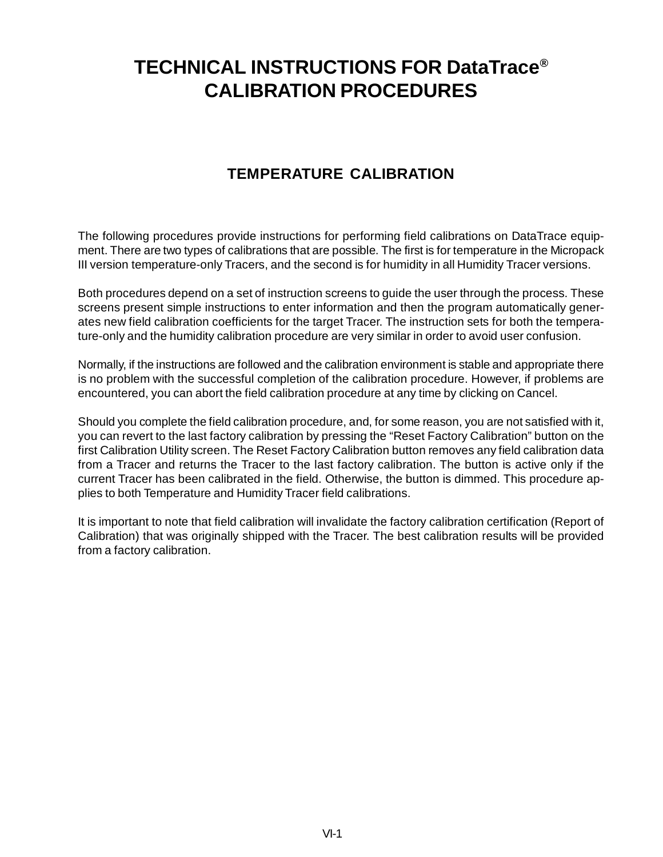## **TECHNICAL INSTRUCTIONS FOR DataTrace® CALIBRATION PROCEDURES**

## **TEMPERATURE CALIBRATION**

The following procedures provide instructions for performing field calibrations on DataTrace equipment. There are two types of calibrations that are possible. The first is for temperature in the Micropack III version temperature-only Tracers, and the second is for humidity in all Humidity Tracer versions.

Both procedures depend on a set of instruction screens to guide the user through the process. These screens present simple instructions to enter information and then the program automatically generates new field calibration coefficients for the target Tracer. The instruction sets for both the temperature-only and the humidity calibration procedure are very similar in order to avoid user confusion.

Normally, if the instructions are followed and the calibration environment is stable and appropriate there is no problem with the successful completion of the calibration procedure. However, if problems are encountered, you can abort the field calibration procedure at any time by clicking on Cancel.

Should you complete the field calibration procedure, and, for some reason, you are not satisfied with it, you can revert to the last factory calibration by pressing the "Reset Factory Calibration" button on the first Calibration Utility screen. The Reset Factory Calibration button removes any field calibration data from a Tracer and returns the Tracer to the last factory calibration. The button is active only if the current Tracer has been calibrated in the field. Otherwise, the button is dimmed. This procedure applies to both Temperature and Humidity Tracer field calibrations.

It is important to note that field calibration will invalidate the factory calibration certification (Report of Calibration) that was originally shipped with the Tracer. The best calibration results will be provided from a factory calibration.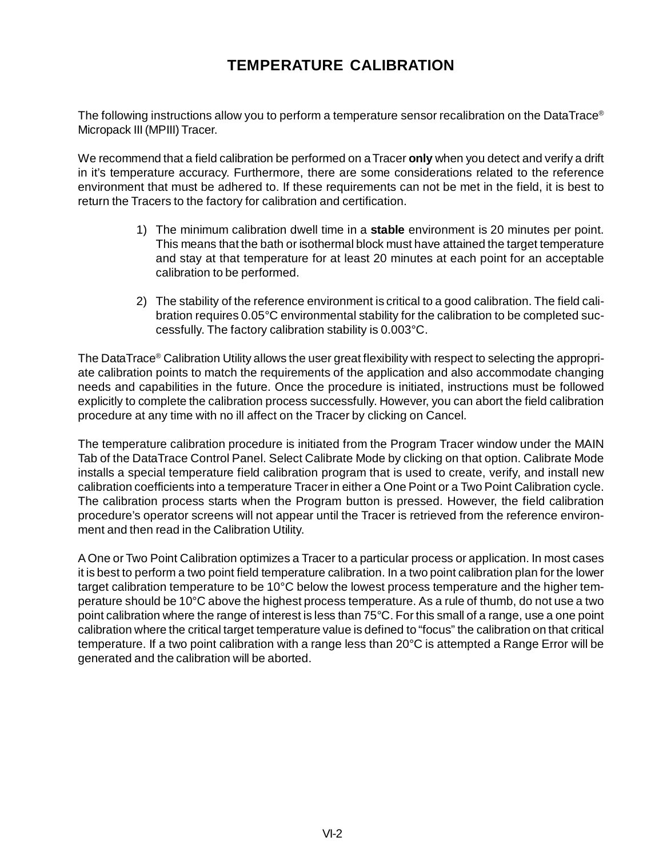## **TEMPERATURE CALIBRATION**

The following instructions allow you to perform a temperature sensor recalibration on the DataTrace® Micropack III (MPIII) Tracer.

We recommend that a field calibration be performed on a Tracer **only** when you detect and verify a drift in it's temperature accuracy. Furthermore, there are some considerations related to the reference environment that must be adhered to. If these requirements can not be met in the field, it is best to return the Tracers to the factory for calibration and certification.

- 1) The minimum calibration dwell time in a **stable** environment is 20 minutes per point. This means that the bath or isothermal block must have attained the target temperature and stay at that temperature for at least 20 minutes at each point for an acceptable calibration to be performed.
- 2) The stability of the reference environment is critical to a good calibration. The field calibration requires 0.05°C environmental stability for the calibration to be completed successfully. The factory calibration stability is 0.003°C.

The DataTrace® Calibration Utility allows the user great flexibility with respect to selecting the appropriate calibration points to match the requirements of the application and also accommodate changing needs and capabilities in the future. Once the procedure is initiated, instructions must be followed explicitly to complete the calibration process successfully. However, you can abort the field calibration procedure at any time with no ill affect on the Tracer by clicking on Cancel.

The temperature calibration procedure is initiated from the Program Tracer window under the MAIN Tab of the DataTrace Control Panel. Select Calibrate Mode by clicking on that option. Calibrate Mode installs a special temperature field calibration program that is used to create, verify, and install new calibration coefficients into a temperature Tracer in either a One Point or a Two Point Calibration cycle. The calibration process starts when the Program button is pressed. However, the field calibration procedure's operator screens will not appear until the Tracer is retrieved from the reference environment and then read in the Calibration Utility.

A One or Two Point Calibration optimizes a Tracer to a particular process or application. In most cases it is best to perform a two point field temperature calibration. In a two point calibration plan for the lower target calibration temperature to be 10°C below the lowest process temperature and the higher temperature should be 10°C above the highest process temperature. As a rule of thumb, do not use a two point calibration where the range of interest is less than 75°C. For this small of a range, use a one point calibration where the critical target temperature value is defined to "focus" the calibration on that critical temperature. If a two point calibration with a range less than 20°C is attempted a Range Error will be generated and the calibration will be aborted.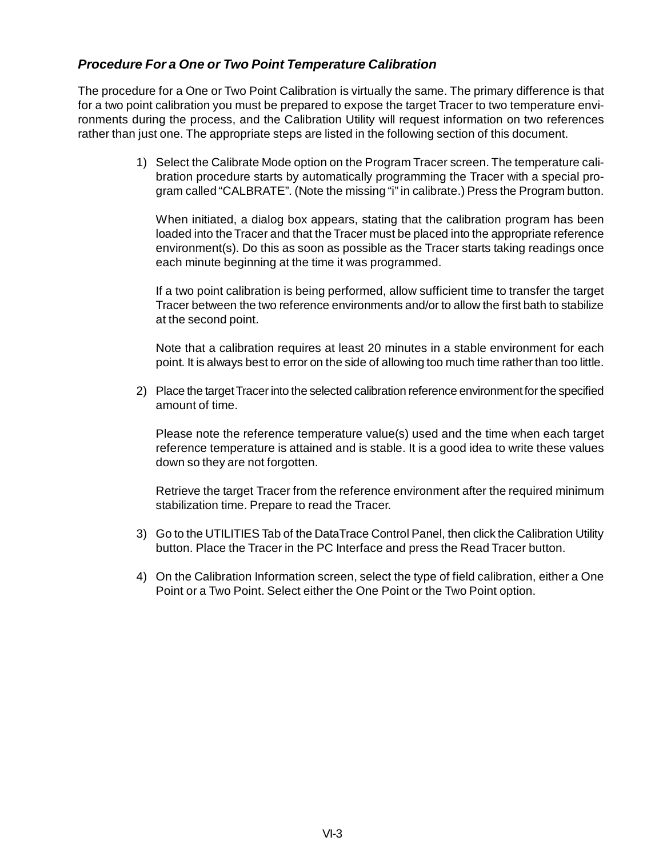## *Procedure For a One or Two Point Temperature Calibration*

The procedure for a One or Two Point Calibration is virtually the same. The primary difference is that for a two point calibration you must be prepared to expose the target Tracer to two temperature environments during the process, and the Calibration Utility will request information on two references rather than just one. The appropriate steps are listed in the following section of this document.

> 1) Select the Calibrate Mode option on the Program Tracer screen. The temperature calibration procedure starts by automatically programming the Tracer with a special program called "CALBRATE". (Note the missing "i" in calibrate.) Press the Program button.

When initiated, a dialog box appears, stating that the calibration program has been loaded into the Tracer and that the Tracer must be placed into the appropriate reference environment(s). Do this as soon as possible as the Tracer starts taking readings once each minute beginning at the time it was programmed.

If a two point calibration is being performed, allow sufficient time to transfer the target Tracer between the two reference environments and/or to allow the first bath to stabilize at the second point.

Note that a calibration requires at least 20 minutes in a stable environment for each point. It is always best to error on the side of allowing too much time rather than too little.

2) Place the target Tracer into the selected calibration reference environment for the specified amount of time.

Please note the reference temperature value(s) used and the time when each target reference temperature is attained and is stable. It is a good idea to write these values down so they are not forgotten.

Retrieve the target Tracer from the reference environment after the required minimum stabilization time. Prepare to read the Tracer.

- 3) Go to the UTILITIES Tab of the DataTrace Control Panel, then click the Calibration Utility button. Place the Tracer in the PC Interface and press the Read Tracer button.
- 4) On the Calibration Information screen, select the type of field calibration, either a One Point or a Two Point. Select either the One Point or the Two Point option.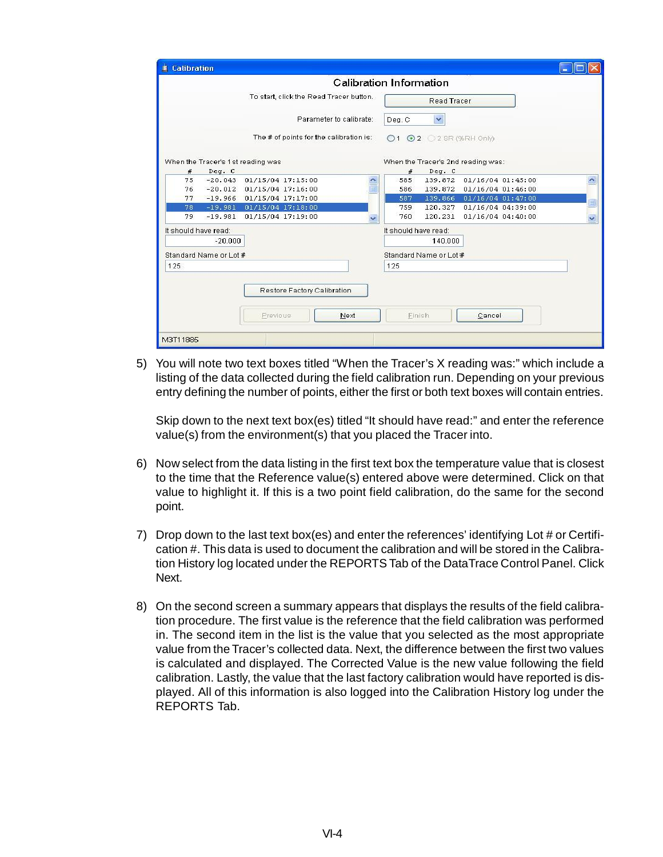|                      | <b>Calibration</b>     |                                                 |             |                         |                                                      |                                    |                     |
|----------------------|------------------------|-------------------------------------------------|-------------|-------------------------|------------------------------------------------------|------------------------------------|---------------------|
|                      |                        |                                                 |             | Calibration Information |                                                      |                                    |                     |
|                      |                        | To start, click the Read Tracer button.         |             | <b>Read Tracer</b>      |                                                      |                                    |                     |
|                      |                        | Parameter to calibrate:                         |             | Deq. C                  | ×                                                    |                                    |                     |
|                      |                        | The # of points for the calibration is:         |             |                         | $\bigcirc$ 1 $\bigcirc$ 2 $\bigcirc$ 2 SR (%RH Only) |                                    |                     |
|                      |                        | When the Tracer's 1st reading was               |             |                         |                                                      | When the Tracer's 2nd reading was: |                     |
| #                    | Deq. C                 |                                                 |             | #                       | Deq. C                                               |                                    |                     |
| 75                   |                        | $-20.043$ 01/15/04 17:15:00                     |             | 585                     | 139.872                                              | 01/16/04 01:45:00                  | $\hat{\phantom{a}}$ |
| 76                   |                        | $-20.012$ $01/15/04$ 17:16:00                   | E           | 586                     |                                                      | 139.872 01/16/04 01:46:00          |                     |
| 77                   |                        | $-19.966$ 01/15/04 17:17:00                     |             | 587                     | 139.866                                              | 01/16/04 01:47:00                  | 員                   |
| 78                   |                        | $-19.981$ 01/15/04 17:18:00                     |             | 759                     | 120.327                                              | 01/16/04 04:39:00                  |                     |
| 79                   |                        | $-19.981$ 01/15/04 17:19:00                     | $\ddotmark$ | 760                     | 120.231                                              | 01/16/04 04:40:00                  | $\checkmark$        |
| It should have read: |                        |                                                 |             | It should have read:    |                                                      |                                    |                     |
|                      | $-20.000$              |                                                 |             |                         | 140,000                                              |                                    |                     |
|                      | Standard Name or Lot # |                                                 |             |                         | Standard Name or Lot #                               |                                    |                     |
| 125                  |                        |                                                 |             | 125                     |                                                      |                                    |                     |
|                      |                        | Restore Factory Calibration<br>Next<br>Previous |             | Finish                  |                                                      | Cancel                             |                     |

5) You will note two text boxes titled "When the Tracer's X reading was:" which include a listing of the data collected during the field calibration run. Depending on your previous entry defining the number of points, either the first or both text boxes will contain entries.

Skip down to the next text box(es) titled "It should have read:" and enter the reference value(s) from the environment(s) that you placed the Tracer into.

- 6) Now select from the data listing in the first text box the temperature value that is closest to the time that the Reference value(s) entered above were determined. Click on that value to highlight it. If this is a two point field calibration, do the same for the second point.
- 7) Drop down to the last text box(es) and enter the references' identifying Lot # or Certification #. This data is used to document the calibration and will be stored in the Calibration History log located under the REPORTS Tab of the DataTrace Control Panel. Click Next.
- 8) On the second screen a summary appears that displays the results of the field calibration procedure. The first value is the reference that the field calibration was performed in. The second item in the list is the value that you selected as the most appropriate value from the Tracer's collected data. Next, the difference between the first two values is calculated and displayed. The Corrected Value is the new value following the field calibration. Lastly, the value that the last factory calibration would have reported is displayed. All of this information is also logged into the Calibration History log under the REPORTS Tab.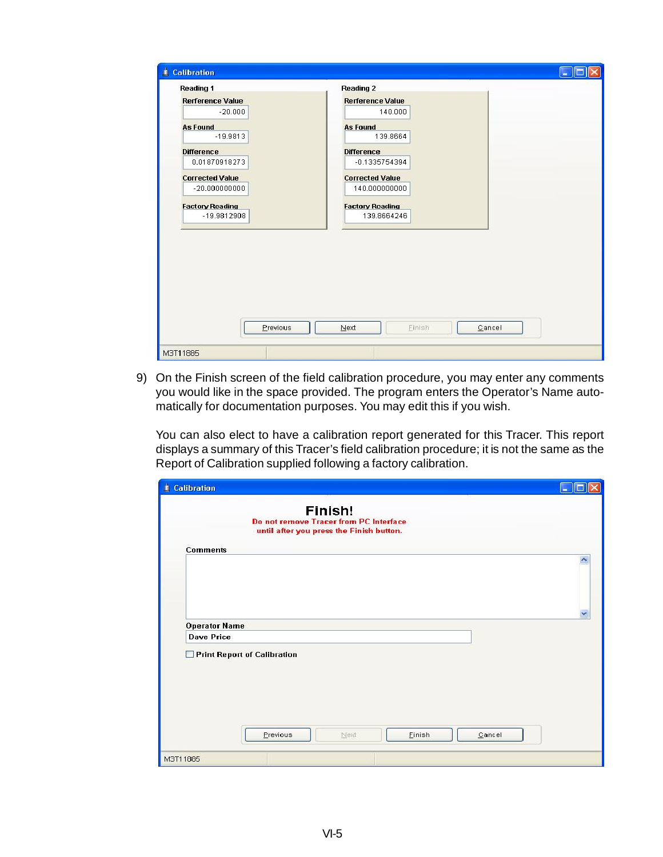| <b>Reading 1</b>        | <b>Reading 2</b>        |  |
|-------------------------|-------------------------|--|
| <b>Rerference Value</b> | <b>Rerference Value</b> |  |
| $-20.000$               | 140.000                 |  |
| <b>As Found</b>         | <b>As Found</b>         |  |
| $-19.9813$              | 139.8664                |  |
| <b>Difference</b>       | <b>Difference</b>       |  |
| 0.01870918273           | $-0.1335754394$         |  |
| <b>Corrected Value</b>  | <b>Corrected Value</b>  |  |
| $-20.0000000000$        | 140.000000000           |  |
| <b>Factory Reading</b>  | <b>Factory Reading</b>  |  |
| $-19.9812908$           | 139.8664246             |  |
| Previous                | Einish                  |  |
|                         | Next<br>Cancel          |  |

9) On the Finish screen of the field calibration procedure, you may enter any comments you would like in the space provided. The program enters the Operator's Name automatically for documentation purposes. You may edit this if you wish.

You can also elect to have a calibration report generated for this Tracer. This report displays a summary of this Tracer's field calibration procedure; it is not the same as the Report of Calibration supplied following a factory calibration.

| Calibration                                                                                   | ÷. |
|-----------------------------------------------------------------------------------------------|----|
| Finish!<br>Do not remove Tracer from PC Interface<br>until after you press the Finish button. |    |
| <b>Comments</b>                                                                               |    |
|                                                                                               |    |
| <b>Operator Name</b>                                                                          |    |
| <b>Dave Price</b>                                                                             |    |
| Print Report of Calibration                                                                   |    |
| Previous<br>Einish<br>Cancel<br>Next                                                          |    |